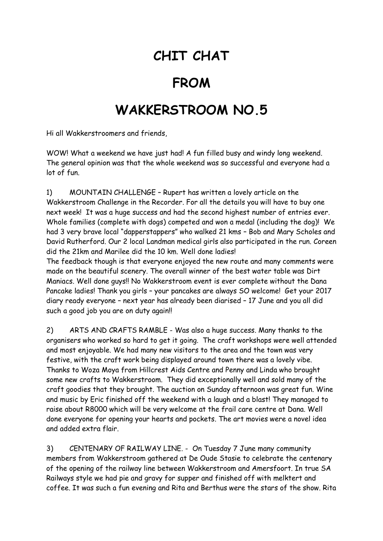## **CHIT CHAT**

## **FROM**

## **WAKKERSTROOM NO.5**

Hi all Wakkerstroomers and friends,

WOW! What a weekend we have just had! A fun filled busy and windy long weekend. The general opinion was that the whole weekend was so successful and everyone had a lot of fun.

1) MOUNTAIN CHALLENGE – Rupert has written a lovely article on the Wakkerstroom Challenge in the Recorder. For all the details you will have to buy one next week! It was a huge success and had the second highest number of entries ever. Whole families (complete with dogs) competed and won a medal (including the dog)! We had 3 very brave local "dapperstappers" who walked 21 kms – Bob and Mary Scholes and David Rutherford. Our 2 local Landman medical girls also participated in the run. Coreen did the 21km and Marilee did the 10 km. Well done ladies!

The feedback though is that everyone enjoyed the new route and many comments were made on the beautiful scenery. The overall winner of the best water table was Dirt Maniacs. Well done guys!! No Wakkerstroom event is ever complete without the Dana Pancake ladies! Thank you girls – your pancakes are always SO welcome! Get your 2017 diary ready everyone – next year has already been diarised – 17 June and you all did such a good job you are on duty again!!

2) ARTS AND CRAFTS RAMBLE - Was also a huge success. Many thanks to the organisers who worked so hard to get it going. The craft workshops were well attended and most enjoyable. We had many new visitors to the area and the town was very festive, with the craft work being displayed around town there was a lovely vibe. Thanks to Woza Moya from Hillcrest Aids Centre and Penny and Linda who brought some new crafts to Wakkerstroom. They did exceptionally well and sold many of the craft goodies that they brought. The auction on Sunday afternoon was great fun. Wine and music by Eric finished off the weekend with a laugh and a blast! They managed to raise about R8000 which will be very welcome at the frail care centre at Dana. Well done everyone for opening your hearts and pockets. The art movies were a novel idea and added extra flair.

3) CENTENARY OF RAILWAY LINE. - On Tuesday 7 June many community members from Wakkerstroom gathered at De Oude Stasie to celebrate the centenary of the opening of the railway line between Wakkerstroom and Amersfoort. In true SA Railways style we had pie and gravy for supper and finished off with melktert and coffee. It was such a fun evening and Rita and Berthus were the stars of the show. Rita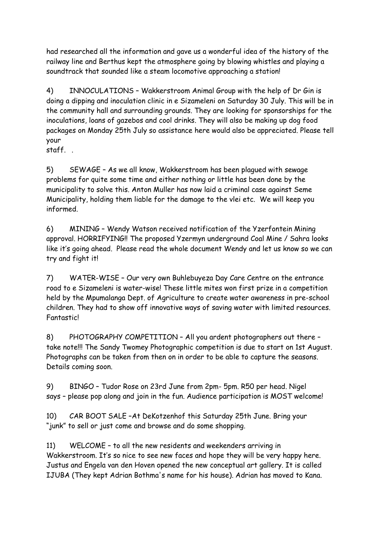had researched all the information and gave us a wonderful idea of the history of the railway line and Berthus kept the atmosphere going by blowing whistles and playing a soundtrack that sounded like a steam locomotive approaching a station!

4) INNOCULATIONS – Wakkerstroom Animal Group with the help of Dr Gin is doing a dipping and inoculation clinic in e Sizameleni on Saturday 30 July. This will be in the community hall and surrounding grounds. They are looking for sponsorships for the inoculations, loans of gazebos and cool drinks. They will also be making up dog food packages on Monday 25th July so assistance here would also be appreciated. Please tell your

staff. .

5) SEWAGE – As we all know, Wakkerstroom has been plagued with sewage problems for quite some time and either nothing or little has been done by the municipality to solve this. Anton Muller has now laid a criminal case against Seme Municipality, holding them liable for the damage to the vlei etc. We will keep you informed.

6) MINING – Wendy Watson received notification of the Yzerfontein Mining approval. HORRIFYING!! The proposed Yzermyn underground Coal Mine / Sahra looks like it's going ahead. Please read the whole document Wendy and let us know so we can try and fight it!

7) WATER-WISE – Our very own Buhlebuyeza Day Care Centre on the entrance road to e Sizameleni is water-wise! These little mites won first prize in a competition held by the Mpumalanga Dept. of Agriculture to create water awareness in pre-school children. They had to show off innovative ways of saving water with limited resources. **Fantasticl** 

8) PHOTOGRAPHY COMPETITION – All you ardent photographers out there – take note!!! The Sandy Twomey Photographic competition is due to start on 1st August. Photographs can be taken from then on in order to be able to capture the seasons. Details coming soon.

9) BINGO – Tudor Rose on 23rd June from 2pm- 5pm. R50 per head. Nigel says – please pop along and join in the fun. Audience participation is MOST welcome!

10) CAR BOOT SALE –At DeKotzenhof this Saturday 25th June. Bring your "junk" to sell or just come and browse and do some shopping.

11) WELCOME – to all the new residents and weekenders arriving in Wakkerstroom. It's so nice to see new faces and hope they will be very happy here. Justus and Engela van den Hoven opened the new conceptual art gallery. It is called IJUBA (They kept Adrian Bothma's name for his house). Adrian has moved to Kana.